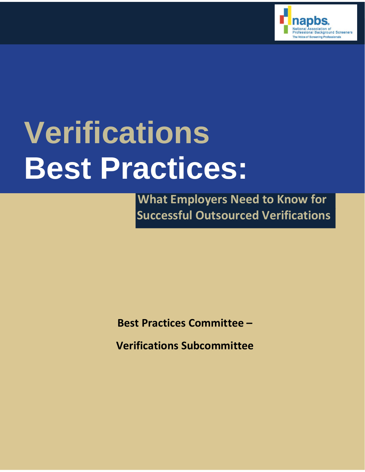

# **Verifications Best Practices:**

 **What Employers Need to Know for Successful Outsourced Verifications**

**Best Practices Committee –**

**Verifications Subcommittee**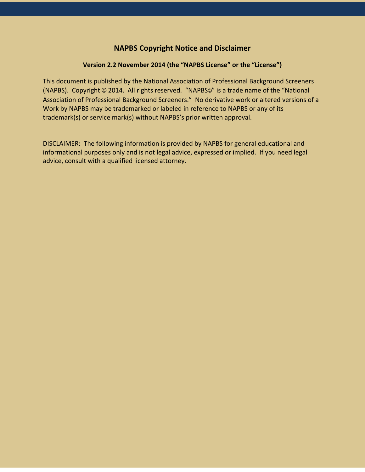#### **NAPBS Copyright Notice and Disclaimer**

#### **Version 2.2 November 2014 (the "NAPBS License" or the "License")**

This document is published by the National Association of Professional Background Screeners (NAPBS). Copyright © 2014. All rights reserved. "NAPBS©" is a trade name of the "National Association of Professional Background Screeners." No derivative work or altered versions of a Work by NAPBS may be trademarked or labeled in reference to NAPBS or any of its trademark(s) or service mark(s) without NAPBS's prior written approval.

DISCLAIMER: The following information is provided by NAPBS for general educational and informational purposes only and is not legal advice, expressed or implied. If you need legal advice, consult with a qualified licensed attorney.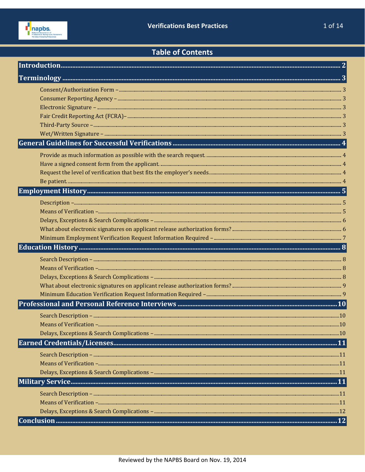

## **Table of Contents**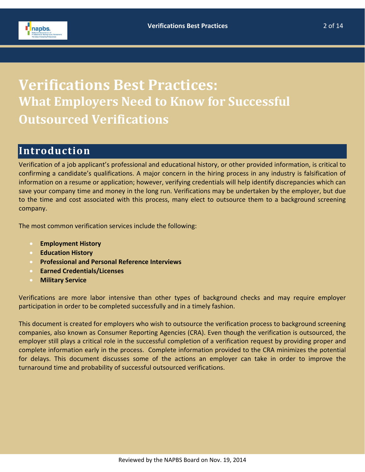

## **Verifications Best Practices: What Employers Need to Know for Successful Outsourced Verifications**

## <span id="page-3-0"></span>**Introduction**

Verification of a job applicant's professional and educational history, or other provided information, is critical to confirming a candidate's qualifications. A major concern in the hiring process in any industry is falsification of information on a resume or application; however, verifying credentials will help identify discrepancies which can save your company time and money in the long run. Verifications may be undertaken by the employer, but due to the time and cost associated with this process, many elect to outsource them to a background screening company.

The most common verification services include the following:

- **Employment History**
- **Education History**
- **Professional and Personal Reference Interviews**
- **Earned Credentials/Licenses**
- **Military Service**

Verifications are more labor intensive than other types of background checks and may require employer participation in order to be completed successfully and in a timely fashion.

This document is created for employers who wish to outsource the verification process to background screening companies, also known as Consumer Reporting Agencies (CRA). Even though the verification is outsourced, the employer still plays a critical role in the successful completion of a verification request by providing proper and complete information early in the process. Complete information provided to the CRA minimizes the potential for delays. This document discusses some of the actions an employer can take in order to improve the turnaround time and probability of successful outsourced verifications.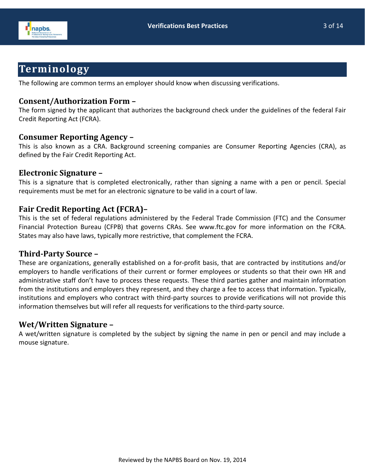



## <span id="page-4-0"></span>**Terminology**

The following are common terms an employer should know when discussing verifications.

#### <span id="page-4-1"></span>**Consent/Authorization Form –**

The form signed by the applicant that authorizes the background check under the guidelines of the federal Fair Credit Reporting Act (FCRA).

#### <span id="page-4-2"></span>**Consumer Reporting Agency –**

This is also known as a CRA. Background screening companies are Consumer Reporting Agencies (CRA), as defined by the Fair Credit Reporting Act.

#### <span id="page-4-3"></span>**Electronic Signature –**

This is a signature that is completed electronically, rather than signing a name with a pen or pencil. Special requirements must be met for an electronic signature to be valid in a court of law.

### <span id="page-4-4"></span>**Fair Credit Reporting Act (FCRA)–**

This is the set of federal regulations administered by the Federal Trade Commission (FTC) and the Consumer Financial Protection Bureau (CFPB) that governs CRAs. See www.ftc.gov for more information on the FCRA. States may also have laws, typically more restrictive, that complement the FCRA.

#### <span id="page-4-5"></span>**Third-Party Source –**

These are organizations, generally established on a for-profit basis, that are contracted by institutions and/or employers to handle verifications of their current or former employees or students so that their own HR and administrative staff don't have to process these requests. These third parties gather and maintain information from the institutions and employers they represent, and they charge a fee to access that information. Typically, institutions and employers who contract with third-party sources to provide verifications will not provide this information themselves but will refer all requests for verifications to the third-party source.

#### <span id="page-4-6"></span>**Wet/Written Signature –**

A wet/written signature is completed by the subject by signing the name in pen or pencil and may include a mouse signature.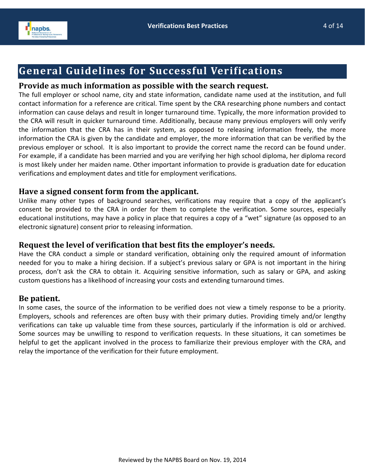

## <span id="page-5-0"></span>**General Guidelines for Successful Verifications**

#### <span id="page-5-1"></span>**Provide as much information as possible with the search request.**

The full employer or school name, city and state information, candidate name used at the institution, and full contact information for a reference are critical. Time spent by the CRA researching phone numbers and contact information can cause delays and result in longer turnaround time. Typically, the more information provided to the CRA will result in quicker turnaround time. Additionally, because many previous employers will only verify the information that the CRA has in their system, as opposed to releasing information freely, the more information the CRA is given by the candidate and employer, the more information that can be verified by the previous employer or school. It is also important to provide the correct name the record can be found under. For example, if a candidate has been married and you are verifying her high school diploma, her diploma record is most likely under her maiden name. Other important information to provide is graduation date for education verifications and employment dates and title for employment verifications.

#### <span id="page-5-2"></span>**Have a signed consent form from the applicant.**

Unlike many other types of background searches, verifications may require that a copy of the applicant's consent be provided to the CRA in order for them to complete the verification. Some sources, especially educational institutions, may have a policy in place that requires a copy of a "wet" signature (as opposed to an electronic signature) consent prior to releasing information.

#### <span id="page-5-3"></span>**Request the level of verification that best fits the employer's needs.**

Have the CRA conduct a simple or standard verification, obtaining only the required amount of information needed for you to make a hiring decision. If a subject's previous salary or GPA is not important in the hiring process, don't ask the CRA to obtain it. Acquiring sensitive information, such as salary or GPA, and asking custom questions has a likelihood of increasing your costs and extending turnaround times.

#### <span id="page-5-4"></span>**Be patient.**

In some cases, the source of the information to be verified does not view a timely response to be a priority. Employers, schools and references are often busy with their primary duties. Providing timely and/or lengthy verifications can take up valuable time from these sources, particularly if the information is old or archived. Some sources may be unwilling to respond to verification requests. In these situations, it can sometimes be helpful to get the applicant involved in the process to familiarize their previous employer with the CRA, and relay the importance of the verification for their future employment.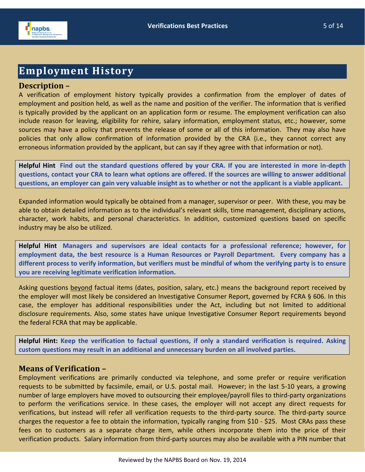

## <span id="page-6-0"></span>**Employment History**

#### <span id="page-6-1"></span>**Description –**

A verification of employment history typically provides a confirmation from the employer of dates of employment and position held, as well as the name and position of the verifier. The information that is verified is typically provided by the applicant on an application form or resume. The employment verification can also include reason for leaving, eligibility for rehire, salary information, employment status, etc.; however, some sources may have a policy that prevents the release of some or all of this information. They may also have policies that only allow confirmation of information provided by the CRA (i.e., they cannot correct any erroneous information provided by the applicant, but can say if they agree with that information or not).

**Helpful Hint**: **Find out the standard questions offered by your CRA. If you are interested in more in-depth questions, contact your CRA to learn what options are offered. If the sources are willing to answer additional questions, an employer can gain very valuable insight as to whether or not the applicant is a viable applicant.**

Expanded information would typically be obtained from a manager, supervisor or peer. With these, you may be able to obtain detailed information as to the individual's relevant skills, time management, disciplinary actions, character, work habits, and personal characteristics. In addition, customized questions based on specific industry may be also be utilized.

**Helpful Hint**: **Managers and supervisors are ideal contacts for a professional reference; however, for employment data, the best resource is a Human Resources or Payroll Department. Every company has a different process to verify information, but verifiers must be mindful of whom the verifying party is to ensure you are receiving legitimate verification information.**

Asking questions beyond factual items (dates, position, salary, etc.) means the background report received by the employer will most likely be considered an Investigative Consumer Report, governed by FCRA § 606. In this case, the employer has additional responsibilities under the Act, including but not limited to additional disclosure requirements. Also, some states have unique Investigative Consumer Report requirements beyond the federal FCRA that may be applicable.

**Helpful Hint: Keep the verification to factual questions, if only a standard verification is required. Asking custom questions may result in an additional and unnecessary burden on all involved parties.**

#### <span id="page-6-2"></span>**Means of Verification –**

Employment verifications are primarily conducted via telephone, and some prefer or require verification requests to be submitted by facsimile, email, or U.S. postal mail. However; in the last 5-10 years, a growing number of large employers have moved to outsourcing their employee/payroll files to third-party organizations to perform the verifications service. In these cases, the employer will not accept any direct requests for verifications, but instead will refer all verification requests to the third-party source. The third-party source charges the requestor a fee to obtain the information, typically ranging from \$10 - \$25. Most CRAs pass these fees on to customers as a separate charge item, while others incorporate them into the price of their verification products. Salary information from third-party sources may also be available with a PIN number that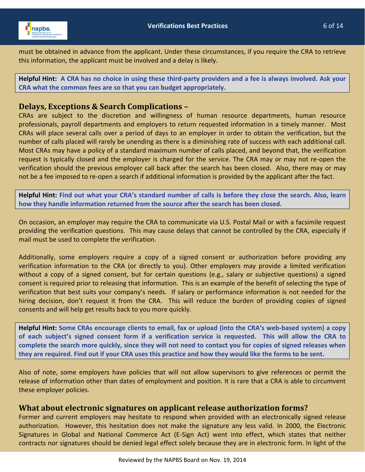

must be obtained in advance from the applicant. Under these circumstances, if you require the CRA to retrieve this information, the applicant must be involved and a delay is likely.

**Helpful Hint: A CRA has no choice in using these third-party providers and a fee is always involved. Ask your CRA what the common fees are so that you can budget appropriately.**

#### <span id="page-7-0"></span>**Delays, Exceptions & Search Complications –**

CRAs are subject to the discretion and willingness of human resource departments, human resource professionals, payroll departments and employers to return requested information in a timely manner. Most CRAs will place several calls over a period of days to an employer in order to obtain the verification, but the number of calls placed will rarely be unending as there is a diminishing rate of success with each additional call. Most CRAs may have a policy of a standard maximum number of calls placed, and beyond that, the verification request is typically closed and the employer is charged for the service. The CRA may or may not re-open the verification should the previous employer call back after the search has been closed. Also, there may or may not be a fee imposed to re-open a search if additional information is provided by the applicant after the fact.

**Helpful Hint: Find out what your CRA's standard number of calls is before they close the search. Also, learn how they handle information returned from the source after the search has been closed.**

On occasion, an employer may require the CRA to communicate via U.S. Postal Mail or with a facsimile request providing the verification questions. This may cause delays that cannot be controlled by the CRA, especially if mail must be used to complete the verification.

Additionally, some employers require a copy of a signed consent or authorization before providing any verification information to the CRA (or directly to you). Other employers may provide a limited verification without a copy of a signed consent, but for certain questions (e.g., salary or subjective questions) a signed consent is required prior to releasing that information. This is an example of the benefit of selecting the type of verification that best suits your company's needs. If salary or performance information is not needed for the hiring decision, don't request it from the CRA. This will reduce the burden of providing copies of signed consents and will help get results back to you more quickly.

**Helpful Hint: Some CRAs encourage clients to email, fax or upload (into the CRA's web-based system) a copy of each subject's signed consent form if a verification service is requested. This will allow the CRA to complete the search more quickly, since they will not need to contact you for copies of signed releases when they are required. Find out if your CRA uses this practice and how they would like the forms to be sent.**

Also of note, some employers have policies that will not allow supervisors to give references or permit the release of information other than dates of employment and position. It is rare that a CRA is able to circumvent these employer policies.

#### <span id="page-7-1"></span>**What about electronic signatures on applicant release authorization forms?**

Former and current employers may hesitate to respond when provided with an electronically signed release authorization. However, this hesitation does not make the signature any less valid. In 2000, the Electronic Signatures in Global and National Commerce Act (E-Sign Act) went into effect, which states that neither contracts nor signatures should be denied legal effect solely because they are in electronic form. In light of the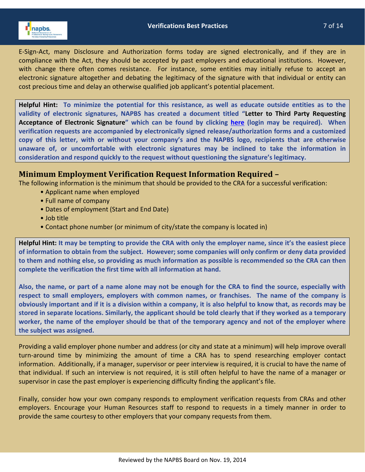

E-Sign-Act, many Disclosure and Authorization forms today are signed electronically, and if they are in compliance with the Act, they should be accepted by past employers and educational institutions. However, with change there often comes resistance. For instance, some entities may initially refuse to accept an electronic signature altogether and debating the legitimacy of the signature with that individual or entity can cost precious time and delay an otherwise qualified job applicant's potential placement.

**Helpful Hint: To minimize the potential for this resistance, as well as educate outside entities as to the validity of electronic signatures, NAPBS has created a document titled "Letter to Third Party Requesting Acceptance of Electronic Signature" which can be found by clicking [here](http://pubs.napbs.com/pub/EE41D758-CA80-7E2E-86C2-3B17D5D27FE2) (login may be required). When verification requests are accompanied by electronically signed release/authorization forms and a customized copy of this letter, with or without your company's and the NAPBS logo, recipients that are otherwise unaware of, or uncomfortable with electronic signatures may be inclined to take the information in consideration and respond quickly to the request without questioning the signature's legitimacy.**

#### <span id="page-8-0"></span>**Minimum Employment Verification Request Information Required –**

The following information is the minimum that should be provided to the CRA for a successful verification:

- Applicant name when employed
- Full name of company
- Dates of employment (Start and End Date)
- Job title
- Contact phone number (or minimum of city/state the company is located in)

**Helpful Hint: It may be tempting to provide the CRA with only the employer name, since it's the easiest piece of information to obtain from the subject. However; some companies will only confirm or deny data provided to them and nothing else, so providing as much information as possible is recommended so the CRA can then complete the verification the first time with all information at hand.**

**Also, the name, or part of a name alone may not be enough for the CRA to find the source, especially with respect to small employers, employers with common names, or franchises. The name of the company is obviously important and if it is a division within a company, it is also helpful to know that, as records may be stored in separate locations. Similarly, the applicant should be told clearly that if they worked as a temporary worker, the name of the employer should be that of the temporary agency and not of the employer where the subject was assigned.**

Providing a valid employer phone number and address (or city and state at a minimum) will help improve overall turn-around time by minimizing the amount of time a CRA has to spend researching employer contact information. Additionally, if a manager, supervisor or peer interview is required, it is crucial to have the name of that individual. If such an interview is not required, it is still often helpful to have the name of a manager or supervisor in case the past employer is experiencing difficulty finding the applicant's file.

Finally, consider how your own company responds to employment verification requests from CRAs and other employers. Encourage your Human Resources staff to respond to requests in a timely manner in order to provide the same courtesy to other employers that your company requests from them.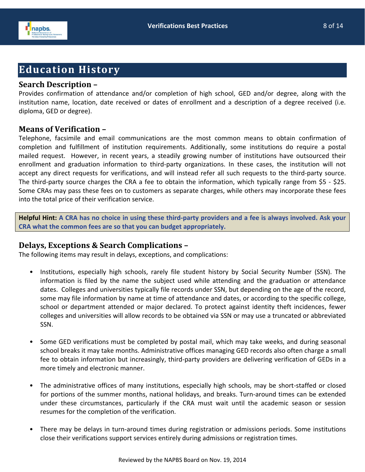

## <span id="page-9-0"></span>**Education History**

#### <span id="page-9-1"></span>**Search Description –**

Provides confirmation of attendance and/or completion of high school, GED and/or degree, along with the institution name, location, date received or dates of enrollment and a description of a degree received (i.e. diploma, GED or degree).

#### <span id="page-9-2"></span>**Means of Verification –**

Telephone, facsimile and email communications are the most common means to obtain confirmation of completion and fulfillment of institution requirements. Additionally, some institutions do require a postal mailed request. However, in recent years, a steadily growing number of institutions have outsourced their enrollment and graduation information to third-party organizations. In these cases, the institution will not accept any direct requests for verifications, and will instead refer all such requests to the third-party source. The third-party source charges the CRA a fee to obtain the information, which typically range from \$5 - \$25. Some CRAs may pass these fees on to customers as separate charges, while others may incorporate these fees into the total price of their verification service.

**Helpful Hint: A CRA has no choice in using these third-party providers and a fee is always involved. Ask your CRA what the common fees are so that you can budget appropriately.**

#### <span id="page-9-3"></span>**Delays, Exceptions & Search Complications –**

The following items may result in delays, exceptions, and complications:

- Institutions, especially high schools, rarely file student history by Social Security Number (SSN). The information is filed by the name the subject used while attending and the graduation or attendance dates. Colleges and universities typically file records under SSN, but depending on the age of the record, some may file information by name at time of attendance and dates, or according to the specific college, school or department attended or major declared. To protect against identity theft incidences, fewer colleges and universities will allow records to be obtained via SSN or may use a truncated or abbreviated SSN.
- Some GED verifications must be completed by postal mail, which may take weeks, and during seasonal school breaks it may take months. Administrative offices managing GED records also often charge a small fee to obtain information but increasingly, third-party providers are delivering verification of GEDs in a more timely and electronic manner.
- The administrative offices of many institutions, especially high schools, may be short-staffed or closed for portions of the summer months, national holidays, and breaks. Turn-around times can be extended under these circumstances, particularly if the CRA must wait until the academic season or session resumes for the completion of the verification.
- There may be delays in turn-around times during registration or admissions periods. Some institutions close their verifications support services entirely during admissions or registration times.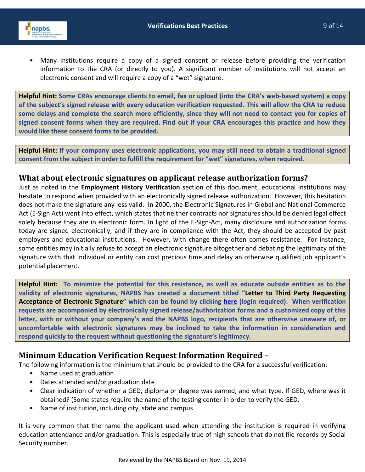

• Many institutions require a copy of a signed consent or release before providing the verification information to the CRA (or directly to you). A significant number of institutions will not accept an electronic consent and will require a copy of a "wet" signature.

**Helpful Hint: Some CRAs encourage clients to email, fax or upload (into the CRA's web-based system) a copy of the subject's signed release with every education verification requested. This will allow the CRA to reduce some delays and complete the search more efficiently, since they will not need to contact you for copies of signed consent forms when they are required. Find out if your CRA encourages this practice and how they would like these consent forms to be provided.**

**Helpful Hint: If your company uses electronic applications, you may still need to obtain a traditional signed consent from the subject in order to fulfill the requirement for "wet" signatures, when required.**

#### <span id="page-10-0"></span>**What about electronic signatures on applicant release authorization forms?**

Just as noted in the **Employment History Verification** section of this document, educational institutions may hesitate to respond when provided with an electronically signed release authorization. However, this hesitation does not make the signature any less valid. In 2000, the Electronic Signatures in Global and National Commerce Act (E-Sign Act) went into effect, which states that neither contracts nor signatures should be denied legal effect solely because they are in electronic form. In light of the E-Sign-Act, many disclosure and authorization forms today are signed electronically, and if they are in compliance with the Act, they should be accepted by past employers and educational institutions. However, with change there often comes resistance. For instance, some entities may initially refuse to accept an electronic signature altogether and debating the legitimacy of the signature with that individual or entity can cost precious time and delay an otherwise qualified job applicant's potential placement.

**Helpful Hint: To minimize the potential for this resistance, as well as educate outside entities as to the validity of electronic signatures, NAPBS has created a document titled "Letter to Third Party Requesting Acceptance of Electronic Signature" which can be found by clicking [here](https://www.napbs.com/members/committees/best_practices_committee.cfm) (login required). When verification requests are accompanied by electronically signed release/authorization forms and a customized copy of this letter, with or without your company's and the NAPBS logo, recipients that are otherwise unaware of, or uncomfortable with electronic signatures may be inclined to take the information in consideration and respond quickly to the request without questioning the signature's legitimacy.**

#### <span id="page-10-1"></span>**Minimum Education Verification Request Information Required –**

The following information is the minimum that should be provided to the CRA for a successful verification:

- Name used at graduation
- Dates attended and/or graduation date
- Clear indication of whether a GED, diploma or degree was earned, and what type. If GED, where was it obtained? (Some states require the name of the testing center in order to verify the GED.
- Name of institution, including city, state and campus

It is very common that the name the applicant used when attending the institution is required in verifying education attendance and/or graduation. This is especially true of high schools that do not file records by Social Security number.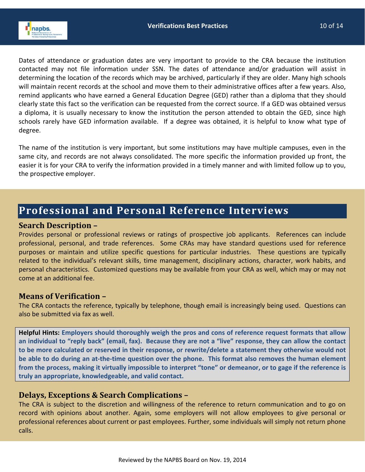

Dates of attendance or graduation dates are very important to provide to the CRA because the institution contacted may not file information under SSN. The dates of attendance and/or graduation will assist in determining the location of the records which may be archived, particularly if they are older. Many high schools will maintain recent records at the school and move them to their administrative offices after a few years. Also, remind applicants who have earned a General Education Degree (GED) rather than a diploma that they should clearly state this fact so the verification can be requested from the correct source. If a GED was obtained versus a diploma, it is usually necessary to know the institution the person attended to obtain the GED, since high schools rarely have GED information available. If a degree was obtained, it is helpful to know what type of degree.

The name of the institution is very important, but some institutions may have multiple campuses, even in the same city, and records are not always consolidated. The more specific the information provided up front, the easier it is for your CRA to verify the information provided in a timely manner and with limited follow up to you, the prospective employer.

## <span id="page-11-0"></span>**Professional and Personal Reference Interviews**

#### <span id="page-11-1"></span>**Search Description –**

Provides personal or professional reviews or ratings of prospective job applicants. References can include professional, personal, and trade references. Some CRAs may have standard questions used for reference purposes or maintain and utilize specific questions for particular industries. These questions are typically related to the individual's relevant skills, time management, disciplinary actions, character, work habits, and personal characteristics. Customized questions may be available from your CRA as well, which may or may not come at an additional fee.

#### <span id="page-11-2"></span>**Means of Verification –**

The CRA contacts the reference, typically by telephone, though email is increasingly being used. Questions can also be submitted via fax as well.

**Helpful Hints: Employers should thoroughly weigh the pros and cons of reference request formats that allow an individual to "reply back" (email, fax). Because they are not a "live" response, they can allow the contact to be more calculated or reserved in their response, or rewrite/delete a statement they otherwise would not be able to do during an at-the-time question over the phone. This format also removes the human element from the process, making it virtually impossible to interpret "tone" or demeanor, or to gage if the reference is truly an appropriate, knowledgeable, and valid contact.** 

#### <span id="page-11-3"></span>**Delays, Exceptions & Search Complications –**

The CRA is subject to the discretion and willingness of the reference to return communication and to go on record with opinions about another. Again, some employers will not allow employees to give personal or professional references about current or past employees. Further, some individuals will simply not return phone calls.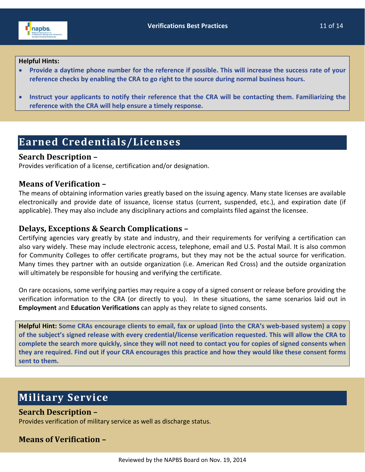

#### **Helpful Hints:**

- **Provide a daytime phone number for the reference if possible. This will increase the success rate of your reference checks by enabling the CRA to go right to the source during normal business hours.**
- **Instruct your applicants to notify their reference that the CRA will be contacting them. Familiarizing the reference with the CRA will help ensure a timely response.**

## <span id="page-12-0"></span>**Earned Credentials/Licenses**

#### <span id="page-12-1"></span>**Search Description –**

Provides verification of a license, certification and/or designation.

#### <span id="page-12-2"></span>**Means of Verification –**

The means of obtaining information varies greatly based on the issuing agency. Many state licenses are available electronically and provide date of issuance, license status (current, suspended, etc.), and expiration date (if applicable). They may also include any disciplinary actions and complaints filed against the licensee.

#### <span id="page-12-3"></span>**Delays, Exceptions & Search Complications –**

Certifying agencies vary greatly by state and industry, and their requirements for verifying a certification can also vary widely. These may include electronic access, telephone, email and U.S. Postal Mail. It is also common for Community Colleges to offer certificate programs, but they may not be the actual source for verification. Many times they partner with an outside organization (i.e. American Red Cross) and the outside organization will ultimately be responsible for housing and verifying the certificate.

On rare occasions, some verifying parties may require a copy of a signed consent or release before providing the verification information to the CRA (or directly to you). In these situations, the same scenarios laid out in **Employment** and **Education Verifications** can apply as they relate to signed consents.

**Helpful Hint: Some CRAs encourage clients to email, fax or upload (into the CRA's web-based system) a copy of the subject's signed release with every credential/license verification requested. This will allow the CRA to complete the search more quickly, since they will not need to contact you for copies of signed consents when they are required. Find out if your CRA encourages this practice and how they would like these consent forms sent to them.**

## <span id="page-12-4"></span>**Military Service**

#### <span id="page-12-5"></span>**Search Description –**

Provides verification of military service as well as discharge status.

#### <span id="page-12-6"></span>**Means of Verification –**